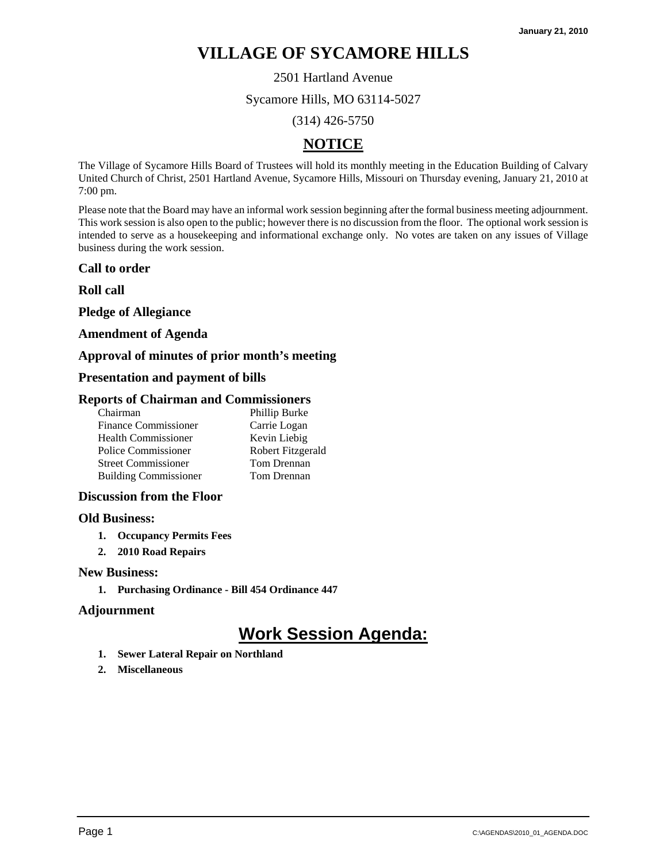2501 Hartland Avenue

Sycamore Hills, MO 63114-5027

(314) 426-5750

# **NOTICE**

The Village of Sycamore Hills Board of Trustees will hold its monthly meeting in the Education Building of Calvary United Church of Christ, 2501 Hartland Avenue, Sycamore Hills, Missouri on Thursday evening, January 21, 2010 at 7:00 pm.

Please note that the Board may have an informal work session beginning after the formal business meeting adjournment. This work session is also open to the public; however there is no discussion from the floor. The optional work session is intended to serve as a housekeeping and informational exchange only. No votes are taken on any issues of Village business during the work session.

### **Call to order**

**Roll call** 

**Pledge of Allegiance** 

#### **Amendment of Agenda**

### **Approval of minutes of prior month's meeting**

### **Presentation and payment of bills**

#### **Reports of Chairman and Commissioners**

| Phillip Burke     |
|-------------------|
| Carrie Logan      |
| Kevin Liebig      |
| Robert Fitzgerald |
| Tom Drennan       |
| Tom Drennan       |
|                   |

### **Discussion from the Floor**

#### **Old Business:**

- **1. Occupancy Permits Fees**
- **2. 2010 Road Repairs**

#### **New Business:**

**1. Purchasing Ordinance - Bill 454 Ordinance 447** 

### **Adjournment**

- **1. Sewer Lateral Repair on Northland**
- **2. Miscellaneous**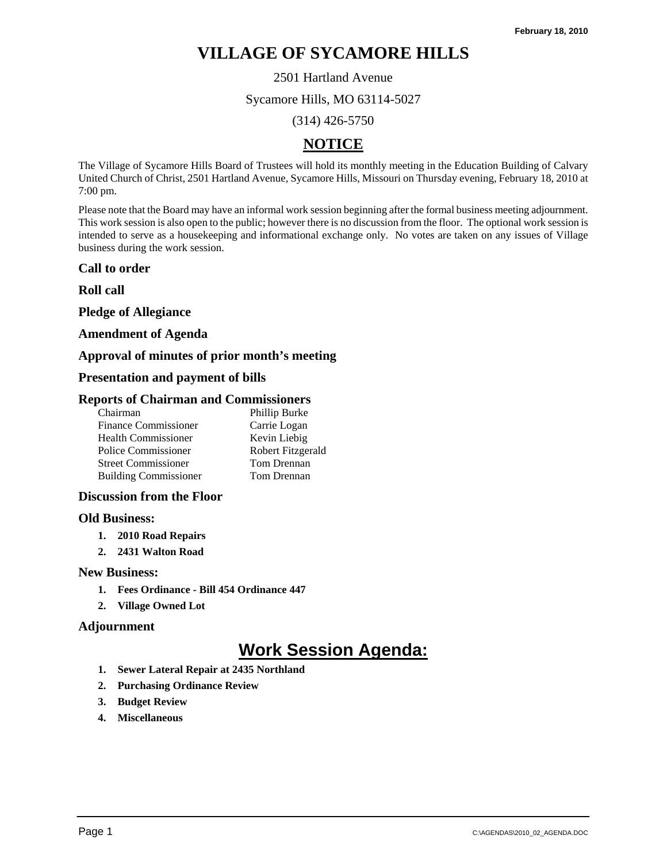2501 Hartland Avenue

Sycamore Hills, MO 63114-5027

(314) 426-5750

# **NOTICE**

The Village of Sycamore Hills Board of Trustees will hold its monthly meeting in the Education Building of Calvary United Church of Christ, 2501 Hartland Avenue, Sycamore Hills, Missouri on Thursday evening, February 18, 2010 at 7:00 pm.

Please note that the Board may have an informal work session beginning after the formal business meeting adjournment. This work session is also open to the public; however there is no discussion from the floor. The optional work session is intended to serve as a housekeeping and informational exchange only. No votes are taken on any issues of Village business during the work session.

### **Call to order**

**Roll call** 

**Pledge of Allegiance** 

### **Amendment of Agenda**

## **Approval of minutes of prior month's meeting**

## **Presentation and payment of bills**

### **Reports of Chairman and Commissioners**

| Phillip Burke     |
|-------------------|
| Carrie Logan      |
| Kevin Liebig      |
| Robert Fitzgerald |
| Tom Drennan       |
| Tom Drennan       |
|                   |

### **Discussion from the Floor**

### **Old Business:**

- **1. 2010 Road Repairs**
- **2. 2431 Walton Road**

### **New Business:**

- **1. Fees Ordinance Bill 454 Ordinance 447**
- **2. Village Owned Lot**

### **Adjournment**

- **1. Sewer Lateral Repair at 2435 Northland**
- **2. Purchasing Ordinance Review**
- **3. Budget Review**
- **4. Miscellaneous**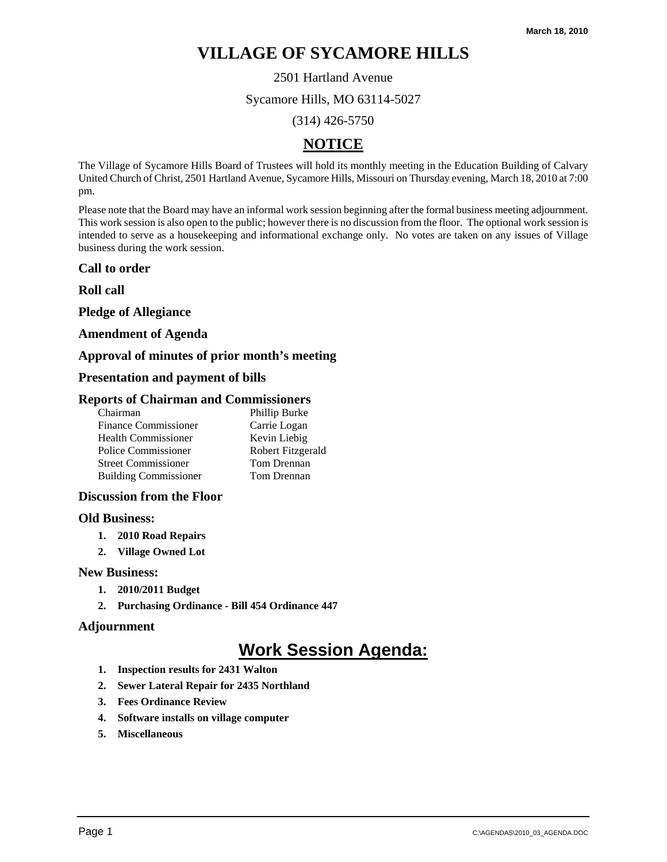2501 Hartland Avenue

Sycamore Hills, MO 63114-5027

(314) 426-5750

# **NOTICE**

The Village of Sycamore Hills Board of Trustees will hold its monthly meeting in the Education Building of Calvary United Church of Christ, 2501 Hartland Avenue, Sycamore Hills, Missouri on Thursday evening, March 18, 2010 at 7:00 pm.

Please note that the Board may have an informal work session beginning after the formal business meeting adjournment. This work session is also open to the public; however there is no discussion from the floor. The optional work session is intended to serve as a housekeeping and informational exchange only. No votes are taken on any issues of Village business during the work session.

#### **Call to order**

**Roll call** 

**Pledge of Allegiance** 

#### **Amendment of Agenda**

### **Approval of minutes of prior month's meeting**

#### **Presentation and payment of bills**

#### **Reports of Chairman and Commissioners**

| Chairman                     | Phillip Burke     |
|------------------------------|-------------------|
| Finance Commissioner         | Carrie Logan      |
| Health Commissioner          | Kevin Liebig      |
| Police Commissioner          | Robert Fitzgerald |
| <b>Street Commissioner</b>   | Tom Drennan       |
| <b>Building Commissioner</b> | Tom Drennan       |
|                              |                   |

#### **Discussion from the Floor**

#### **Old Business:**

- **1. 2010 Road Repairs**
- **2. Village Owned Lot**

#### **New Business:**

- **1. 2010/2011 Budget**
- **2. Purchasing Ordinance Bill 454 Ordinance 447**

#### **Adjournment**

- **1. Inspection results for 2431 Walton**
- **2. Sewer Lateral Repair for 2435 Northland**
- **3. Fees Ordinance Review**
- **4. Software installs on village computer**
- **5. Miscellaneous**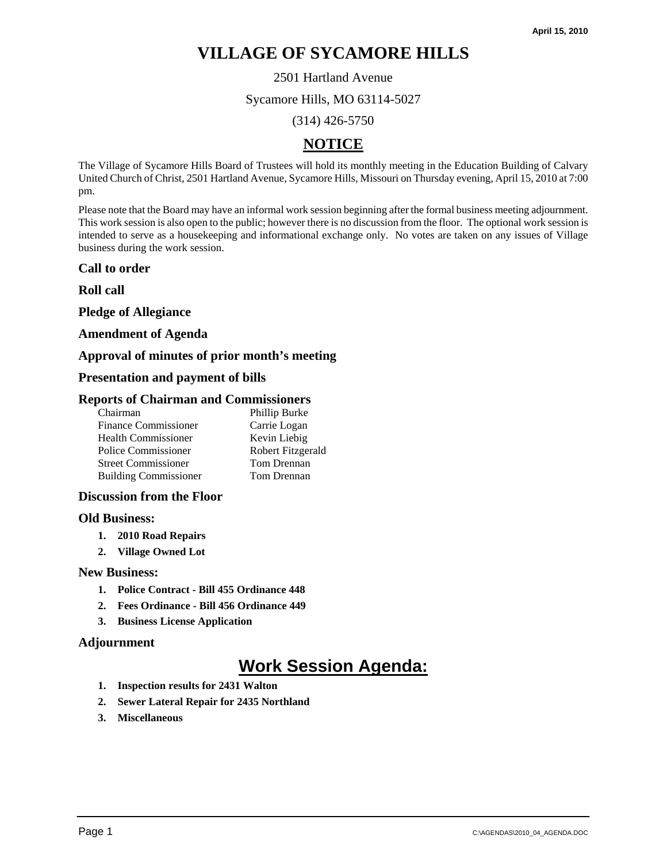2501 Hartland Avenue

Sycamore Hills, MO 63114-5027

(314) 426-5750

# **NOTICE**

The Village of Sycamore Hills Board of Trustees will hold its monthly meeting in the Education Building of Calvary United Church of Christ, 2501 Hartland Avenue, Sycamore Hills, Missouri on Thursday evening, April 15, 2010 at 7:00 pm.

Please note that the Board may have an informal work session beginning after the formal business meeting adjournment. This work session is also open to the public; however there is no discussion from the floor. The optional work session is intended to serve as a housekeeping and informational exchange only. No votes are taken on any issues of Village business during the work session.

### **Call to order**

**Roll call** 

**Pledge of Allegiance** 

## **Amendment of Agenda**

## **Approval of minutes of prior month's meeting**

## **Presentation and payment of bills**

### **Reports of Chairman and Commissioners**

| Phillip Burke     |
|-------------------|
| Carrie Logan      |
| Kevin Liebig      |
| Robert Fitzgerald |
| Tom Drennan       |
| Tom Drennan       |
|                   |

### **Discussion from the Floor**

### **Old Business:**

- **1. 2010 Road Repairs**
- **2. Village Owned Lot**

### **New Business:**

- **1. Police Contract Bill 455 Ordinance 448**
- **2. Fees Ordinance Bill 456 Ordinance 449**
- **3. Business License Application**

### **Adjournment**

- **1. Inspection results for 2431 Walton**
- **2. Sewer Lateral Repair for 2435 Northland**
- **3. Miscellaneous**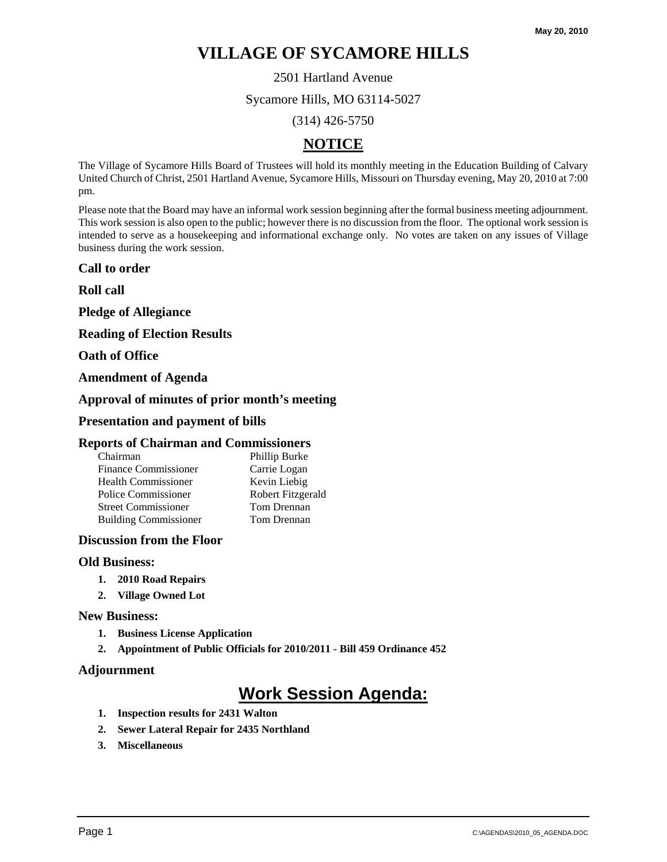2501 Hartland Avenue

Sycamore Hills, MO 63114-5027

(314) 426-5750

# **NOTICE**

The Village of Sycamore Hills Board of Trustees will hold its monthly meeting in the Education Building of Calvary United Church of Christ, 2501 Hartland Avenue, Sycamore Hills, Missouri on Thursday evening, May 20, 2010 at 7:00 pm.

Please note that the Board may have an informal work session beginning after the formal business meeting adjournment. This work session is also open to the public; however there is no discussion from the floor. The optional work session is intended to serve as a housekeeping and informational exchange only. No votes are taken on any issues of Village business during the work session.

**Call to order** 

**Roll call** 

**Pledge of Allegiance** 

**Reading of Election Results** 

**Oath of Office** 

**Amendment of Agenda** 

### **Approval of minutes of prior month's meeting**

#### **Presentation and payment of bills**

#### **Reports of Chairman and Commissioners**

| Chairman                     | Phillip Burke     |
|------------------------------|-------------------|
| <b>Finance Commissioner</b>  | Carrie Logan      |
| <b>Health Commissioner</b>   | Kevin Liebig      |
| Police Commissioner          | Robert Fitzgerald |
| <b>Street Commissioner</b>   | Tom Drennan       |
| <b>Building Commissioner</b> | Tom Drennan       |

#### **Discussion from the Floor**

#### **Old Business:**

- **1. 2010 Road Repairs**
- **2. Village Owned Lot**

#### **New Business:**

- **1. Business License Application**
- **2. Appointment of Public Officials for 2010/2011 Bill 459 Ordinance 452**

#### **Adjournment**

- **1. Inspection results for 2431 Walton**
- **2. Sewer Lateral Repair for 2435 Northland**
- **3. Miscellaneous**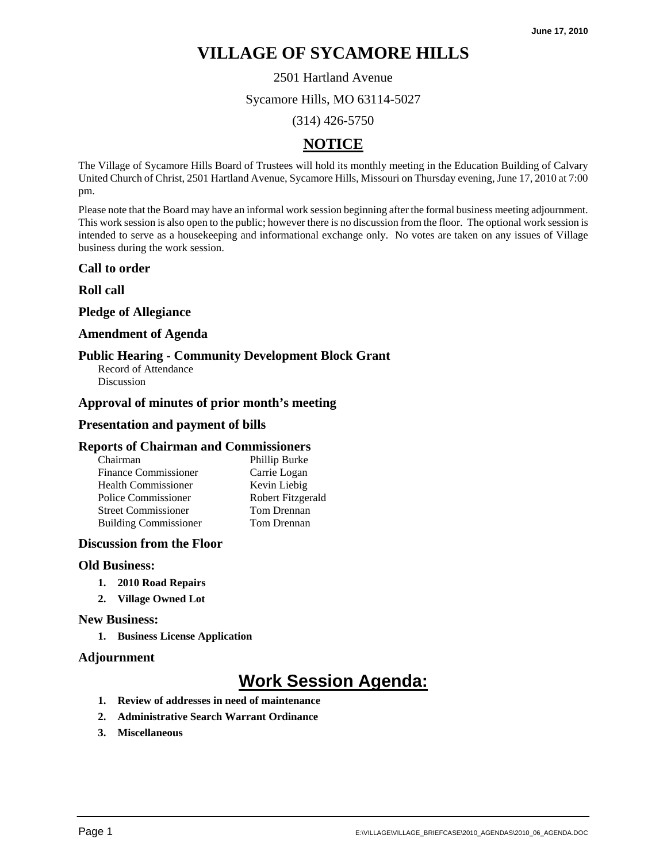2501 Hartland Avenue

Sycamore Hills, MO 63114-5027

(314) 426-5750

# **NOTICE**

The Village of Sycamore Hills Board of Trustees will hold its monthly meeting in the Education Building of Calvary United Church of Christ, 2501 Hartland Avenue, Sycamore Hills, Missouri on Thursday evening, June 17, 2010 at 7:00 pm.

Please note that the Board may have an informal work session beginning after the formal business meeting adjournment. This work session is also open to the public; however there is no discussion from the floor. The optional work session is intended to serve as a housekeeping and informational exchange only. No votes are taken on any issues of Village business during the work session.

### **Call to order**

### **Roll call**

## **Pledge of Allegiance**

#### **Amendment of Agenda**

### **Public Hearing - Community Development Block Grant**

Record of Attendance Discussion

### **Approval of minutes of prior month's meeting**

#### **Presentation and payment of bills**

#### **Reports of Chairman and Commissioners**

| Phillip Burke     |
|-------------------|
| Carrie Logan      |
| Kevin Liebig      |
| Robert Fitzgerald |
| Tom Drennan       |
| Tom Drennan       |
|                   |

#### **Discussion from the Floor**

#### **Old Business:**

- **1. 2010 Road Repairs**
- **2. Village Owned Lot**

#### **New Business:**

**1. Business License Application** 

#### **Adjournment**

- **1. Review of addresses in need of maintenance**
- **2. Administrative Search Warrant Ordinance**
- **3. Miscellaneous**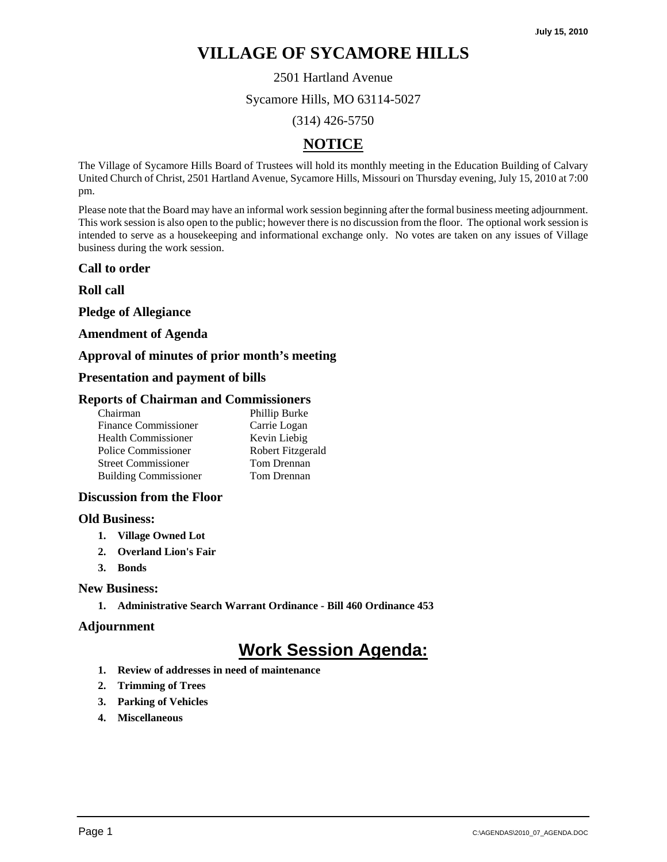2501 Hartland Avenue

Sycamore Hills, MO 63114-5027

(314) 426-5750

# **NOTICE**

The Village of Sycamore Hills Board of Trustees will hold its monthly meeting in the Education Building of Calvary United Church of Christ, 2501 Hartland Avenue, Sycamore Hills, Missouri on Thursday evening, July 15, 2010 at 7:00 pm.

Please note that the Board may have an informal work session beginning after the formal business meeting adjournment. This work session is also open to the public; however there is no discussion from the floor. The optional work session is intended to serve as a housekeeping and informational exchange only. No votes are taken on any issues of Village business during the work session.

### **Call to order**

**Roll call** 

**Pledge of Allegiance** 

## **Amendment of Agenda**

## **Approval of minutes of prior month's meeting**

## **Presentation and payment of bills**

### **Reports of Chairman and Commissioners**

| Chairman                     | Phillip Burke     |
|------------------------------|-------------------|
| <b>Finance Commissioner</b>  | Carrie Logan      |
| <b>Health Commissioner</b>   | Kevin Liebig      |
| Police Commissioner          | Robert Fitzgerald |
| <b>Street Commissioner</b>   | Tom Drennan       |
| <b>Building Commissioner</b> | Tom Drennan       |
|                              |                   |

### **Discussion from the Floor**

### **Old Business:**

- **1. Village Owned Lot**
- **2. Overland Lion's Fair**
- **3. Bonds**

### **New Business:**

**1. Administrative Search Warrant Ordinance - Bill 460 Ordinance 453** 

### **Adjournment**

- **1. Review of addresses in need of maintenance**
- **2. Trimming of Trees**
- **3. Parking of Vehicles**
- **4. Miscellaneous**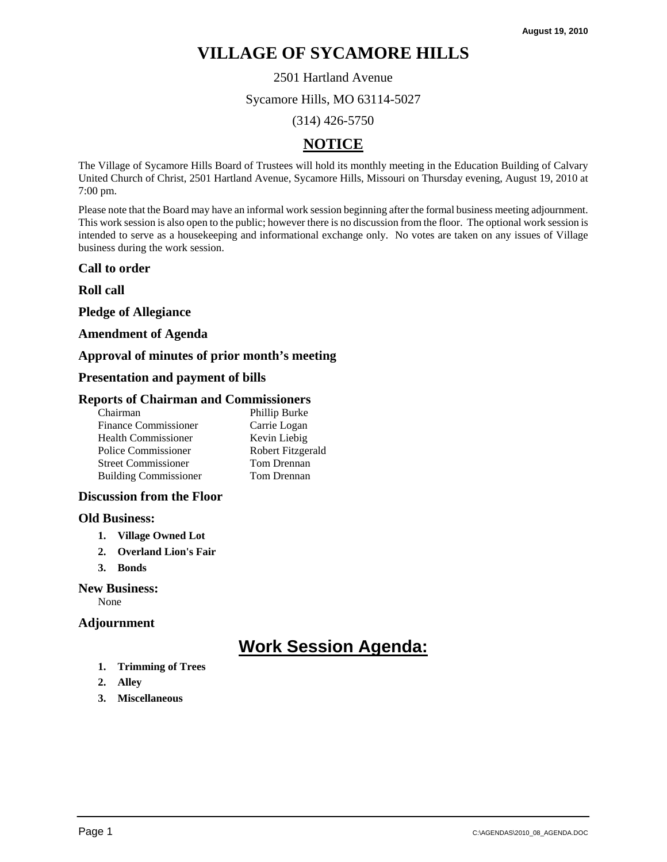2501 Hartland Avenue

Sycamore Hills, MO 63114-5027

(314) 426-5750

# **NOTICE**

The Village of Sycamore Hills Board of Trustees will hold its monthly meeting in the Education Building of Calvary United Church of Christ, 2501 Hartland Avenue, Sycamore Hills, Missouri on Thursday evening, August 19, 2010 at 7:00 pm.

Please note that the Board may have an informal work session beginning after the formal business meeting adjournment. This work session is also open to the public; however there is no discussion from the floor. The optional work session is intended to serve as a housekeeping and informational exchange only. No votes are taken on any issues of Village business during the work session.

### **Call to order**

**Roll call** 

**Pledge of Allegiance** 

#### **Amendment of Agenda**

### **Approval of minutes of prior month's meeting**

### **Presentation and payment of bills**

#### **Reports of Chairman and Commissioners**

| Chairman                     | Phillip Burke     |
|------------------------------|-------------------|
| <b>Finance Commissioner</b>  | Carrie Logan      |
| Health Commissioner          | Kevin Liebig      |
| Police Commissioner          | Robert Fitzgerald |
| <b>Street Commissioner</b>   | Tom Drennan       |
| <b>Building Commissioner</b> | Tom Drennan       |
|                              |                   |

### **Discussion from the Floor**

#### **Old Business:**

- **1. Village Owned Lot**
- **2. Overland Lion's Fair**
- **3. Bonds**

### **New Business:**

None

### **Adjournment**

- **1. Trimming of Trees**
- **2. Alley**
- **3. Miscellaneous**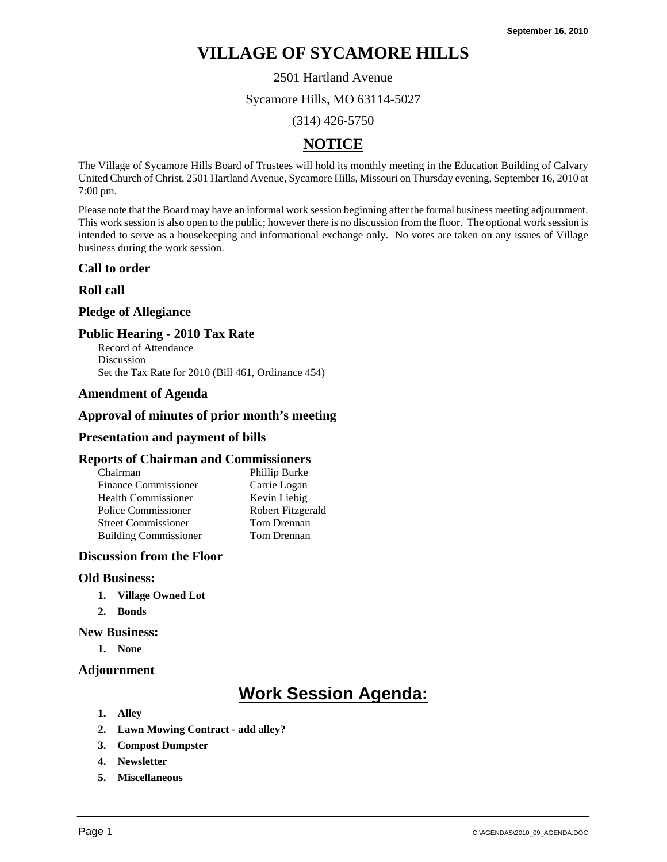2501 Hartland Avenue

Sycamore Hills, MO 63114-5027

(314) 426-5750

# **NOTICE**

The Village of Sycamore Hills Board of Trustees will hold its monthly meeting in the Education Building of Calvary United Church of Christ, 2501 Hartland Avenue, Sycamore Hills, Missouri on Thursday evening, September 16, 2010 at 7:00 pm.

Please note that the Board may have an informal work session beginning after the formal business meeting adjournment. This work session is also open to the public; however there is no discussion from the floor. The optional work session is intended to serve as a housekeeping and informational exchange only. No votes are taken on any issues of Village business during the work session.

### **Call to order**

### **Roll call**

### **Pledge of Allegiance**

### **Public Hearing - 2010 Tax Rate**

Record of Attendance Discussion Set the Tax Rate for 2010 (Bill 461, Ordinance 454)

#### **Amendment of Agenda**

## **Approval of minutes of prior month's meeting**

#### **Presentation and payment of bills**

#### **Reports of Chairman and Commissioners**

| Chairman                     | Phillip Burke     |
|------------------------------|-------------------|
| <b>Finance Commissioner</b>  | Carrie Logan      |
| <b>Health Commissioner</b>   | Kevin Liebig      |
| Police Commissioner          | Robert Fitzgerald |
| <b>Street Commissioner</b>   | Tom Drennan       |
| <b>Building Commissioner</b> | Tom Drennan       |

## **Discussion from the Floor**

#### **Old Business:**

- **1. Village Owned Lot**
- **2. Bonds**

#### **New Business:**

**1. None** 

### **Adjournment**

- **1. Alley**
- **2. Lawn Mowing Contract add alley?**
- **3. Compost Dumpster**
- **4. Newsletter**
- **5. Miscellaneous**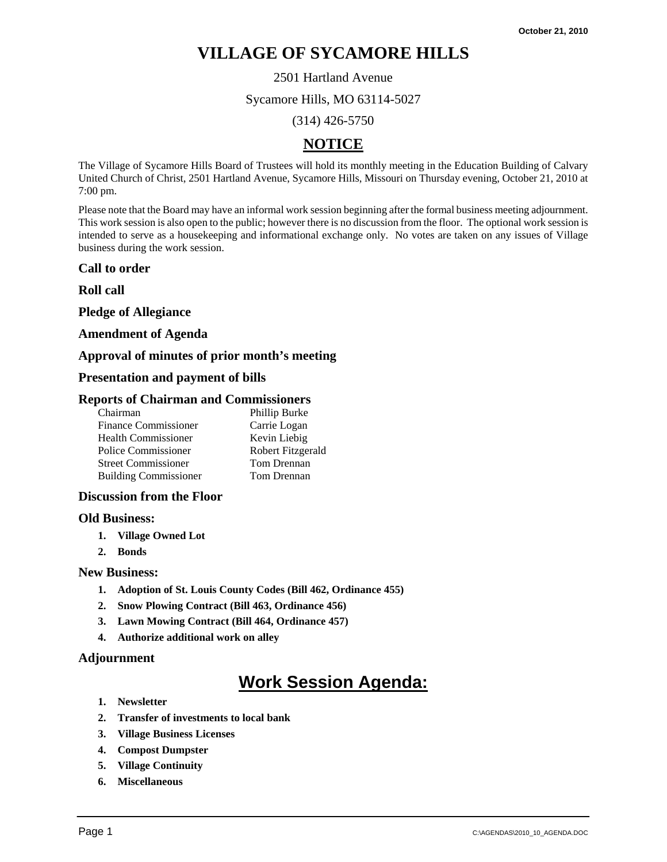### 2501 Hartland Avenue

Sycamore Hills, MO 63114-5027

(314) 426-5750

# **NOTICE**

The Village of Sycamore Hills Board of Trustees will hold its monthly meeting in the Education Building of Calvary United Church of Christ, 2501 Hartland Avenue, Sycamore Hills, Missouri on Thursday evening, October 21, 2010 at 7:00 pm.

Please note that the Board may have an informal work session beginning after the formal business meeting adjournment. This work session is also open to the public; however there is no discussion from the floor. The optional work session is intended to serve as a housekeeping and informational exchange only. No votes are taken on any issues of Village business during the work session.

#### **Call to order**

**Roll call** 

**Pledge of Allegiance** 

#### **Amendment of Agenda**

# **Approval of minutes of prior month's meeting**

#### **Presentation and payment of bills**

#### **Reports of Chairman and Commissioners**

| Chairman                     | Phillip Burke     |
|------------------------------|-------------------|
| <b>Finance Commissioner</b>  | Carrie Logan      |
| <b>Health Commissioner</b>   | Kevin Liebig      |
| Police Commissioner          | Robert Fitzgerald |
| <b>Street Commissioner</b>   | Tom Drennan       |
| <b>Building Commissioner</b> | Tom Drennan       |

### **Discussion from the Floor**

#### **Old Business:**

- **1. Village Owned Lot**
- **2. Bonds**

#### **New Business:**

- **1. Adoption of St. Louis County Codes (Bill 462, Ordinance 455)**
- **2. Snow Plowing Contract (Bill 463, Ordinance 456)**
- **3. Lawn Mowing Contract (Bill 464, Ordinance 457)**
- **4. Authorize additional work on alley**

### **Adjournment**

- **1. Newsletter**
- **2. Transfer of investments to local bank**
- **3. Village Business Licenses**
- **4. Compost Dumpster**
- **5. Village Continuity**
- **6. Miscellaneous**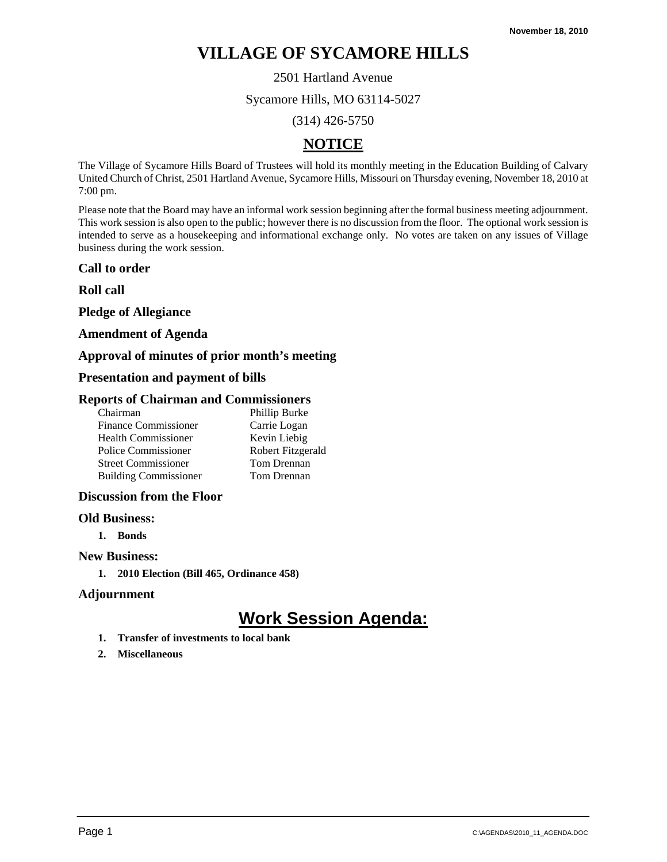2501 Hartland Avenue

Sycamore Hills, MO 63114-5027

(314) 426-5750

# **NOTICE**

The Village of Sycamore Hills Board of Trustees will hold its monthly meeting in the Education Building of Calvary United Church of Christ, 2501 Hartland Avenue, Sycamore Hills, Missouri on Thursday evening, November 18, 2010 at 7:00 pm.

Please note that the Board may have an informal work session beginning after the formal business meeting adjournment. This work session is also open to the public; however there is no discussion from the floor. The optional work session is intended to serve as a housekeeping and informational exchange only. No votes are taken on any issues of Village business during the work session.

### **Call to order**

**Roll call** 

**Pledge of Allegiance** 

## **Amendment of Agenda**

## **Approval of minutes of prior month's meeting**

## **Presentation and payment of bills**

### **Reports of Chairman and Commissioners**

| Chairman                     | Phillip Burke     |
|------------------------------|-------------------|
| <b>Finance Commissioner</b>  | Carrie Logan      |
| <b>Health Commissioner</b>   | Kevin Liebig      |
| Police Commissioner          | Robert Fitzgerald |
| <b>Street Commissioner</b>   | Tom Drennan       |
| <b>Building Commissioner</b> | Tom Drennan       |

### **Discussion from the Floor**

### **Old Business:**

**1. Bonds** 

# **New Business:**

**1. 2010 Election (Bill 465, Ordinance 458)** 

### **Adjournment**

- **1. Transfer of investments to local bank**
- **2. Miscellaneous**